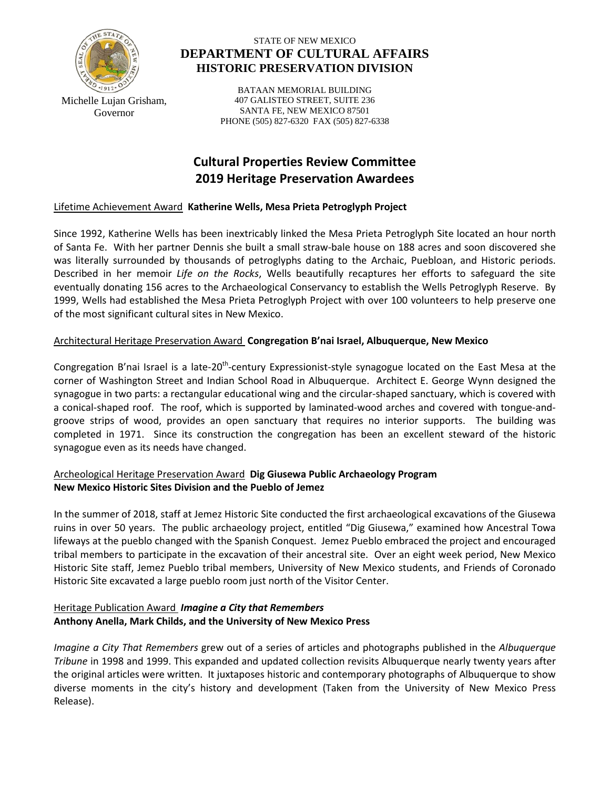

STATE OF NEW MEXICO **DEPARTMENT OF CULTURAL AFFAIRS HISTORIC PRESERVATION DIVISION**

Michelle Lujan Grisham, Governor

BATAAN MEMORIAL BUILDING 407 GALISTEO STREET, SUITE 236 SANTA FE, NEW MEXICO 87501 PHONE (505) 827-6320 FAX (505) 827-6338

# **Cultural Properties Review Committee 2019 Heritage Preservation Awardees**

#### Lifetime Achievement Award **Katherine Wells, Mesa Prieta Petroglyph Project**

Since 1992, Katherine Wells has been inextricably linked the Mesa Prieta Petroglyph Site located an hour north of Santa Fe. With her partner Dennis she built a small straw-bale house on 188 acres and soon discovered she was literally surrounded by thousands of petroglyphs dating to the Archaic, Puebloan, and Historic periods. Described in her memoir *Life on the Rocks*, Wells beautifully recaptures her efforts to safeguard the site eventually donating 156 acres to the Archaeological Conservancy to establish the Wells Petroglyph Reserve. By 1999, Wells had established the Mesa Prieta Petroglyph Project with over 100 volunteers to help preserve one of the most significant cultural sites in New Mexico.

# Architectural Heritage Preservation Award **Congregation B'nai Israel, Albuquerque, New Mexico**

Congregation B'nai Israel is a late-20<sup>th</sup>-century Expressionist-style synagogue located on the East Mesa at the corner of Washington Street and Indian School Road in Albuquerque. Architect E. George Wynn designed the synagogue in two parts: a rectangular educational wing and the circular-shaped sanctuary, which is covered with a conical-shaped roof. The roof, which is supported by laminated-wood arches and covered with tongue-andgroove strips of wood, provides an open sanctuary that requires no interior supports. The building was completed in 1971. Since its construction the congregation has been an excellent steward of the historic synagogue even as its needs have changed.

# Archeological Heritage Preservation Award **Dig Giusewa Public Archaeology Program New Mexico Historic Sites Division and the Pueblo of Jemez**

In the summer of 2018, staff at Jemez Historic Site conducted the first archaeological excavations of the Giusewa ruins in over 50 years. The public archaeology project, entitled "Dig Giusewa," examined how Ancestral Towa lifeways at the pueblo changed with the Spanish Conquest. Jemez Pueblo embraced the project and encouraged tribal members to participate in the excavation of their ancestral site. Over an eight week period, New Mexico Historic Site staff, Jemez Pueblo tribal members, University of New Mexico students, and Friends of Coronado Historic Site excavated a large pueblo room just north of the Visitor Center.

# Heritage Publication Award *Imagine a City that Remembers* **Anthony Anella, Mark Childs, and the University of New Mexico Press**

*Imagine a City That Remembers* grew out of a series of articles and photographs published in the *Albuquerque Tribune* in 1998 and 1999. This expanded and updated collection revisits Albuquerque nearly twenty years after the original articles were written. It juxtaposes historic and contemporary photographs of Albuquerque to show diverse moments in the city's history and development (Taken from the University of New Mexico Press Release).